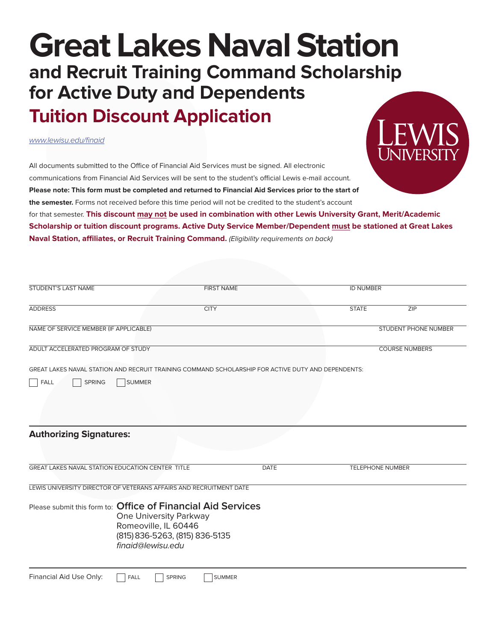## **Great Lakes Naval Station and Recruit Training Command Scholarship for Active Duty and Dependents Tuition Discount Application**

*www.lewisu.edu/finaid*



All documents submitted to the Office of Financial Aid Services must be signed. All electronic communications from Financial Aid Services will be sent to the student's official Lewis e-mail account. **Please note: This form must be completed and returned to Financial Aid Services prior to the start of the semester.** Forms not received before this time period will not be credited to the student's account for that semester. **This discount may not be used in combination with other Lewis University Grant, Merit/Academic Scholarship or tuition discount programs. Active Duty Service Member/Dependent must be stationed at Great Lakes** 

**Naval Station, affiliates, or Recruit Training Command.** (Eligibility requirements on back)

| <b>STUDENT'S LAST NAME</b>                                         |                                                                                                       | <b>FIRST NAME</b>                                                                                  | <b>ID NUMBER</b>        |                       |
|--------------------------------------------------------------------|-------------------------------------------------------------------------------------------------------|----------------------------------------------------------------------------------------------------|-------------------------|-----------------------|
| <b>ADDRESS</b>                                                     |                                                                                                       | <b>CITY</b>                                                                                        | <b>STATE</b>            | ZIP                   |
| NAME OF SERVICE MEMBER (IF APPLICABLE)                             |                                                                                                       |                                                                                                    |                         | STUDENT PHONE NUMBER  |
| ADULT ACCELERATED PROGRAM OF STUDY                                 |                                                                                                       |                                                                                                    |                         | <b>COURSE NUMBERS</b> |
|                                                                    |                                                                                                       | GREAT LAKES NAVAL STATION AND RECRUIT TRAINING COMMAND SCHOLARSHIP FOR ACTIVE DUTY AND DEPENDENTS: |                         |                       |
| FALL<br><b>SPRING</b>                                              | <b>SUMMER</b>                                                                                         |                                                                                                    |                         |                       |
|                                                                    |                                                                                                       |                                                                                                    |                         |                       |
|                                                                    |                                                                                                       |                                                                                                    |                         |                       |
|                                                                    |                                                                                                       |                                                                                                    |                         |                       |
| <b>Authorizing Signatures:</b>                                     |                                                                                                       |                                                                                                    |                         |                       |
| <b>GREAT LAKES NAVAL STATION EDUCATION CENTER TITLE</b>            |                                                                                                       | <b>DATE</b>                                                                                        | <b>TELEPHONE NUMBER</b> |                       |
| LEWIS UNIVERSITY DIRECTOR OF VETERANS AFFAIRS AND RECRUITMENT DATE |                                                                                                       |                                                                                                    |                         |                       |
| Please submit this form to: Office of Financial Aid Services       | One University Parkway<br>Romeoville, IL 60446<br>(815) 836-5263, (815) 836-5135<br>finaid@lewisu.edu |                                                                                                    |                         |                       |
| Financial Aid Use Only:                                            | <b>FALL</b><br><b>SPRING</b>                                                                          | <b>SUMMER</b>                                                                                      |                         |                       |